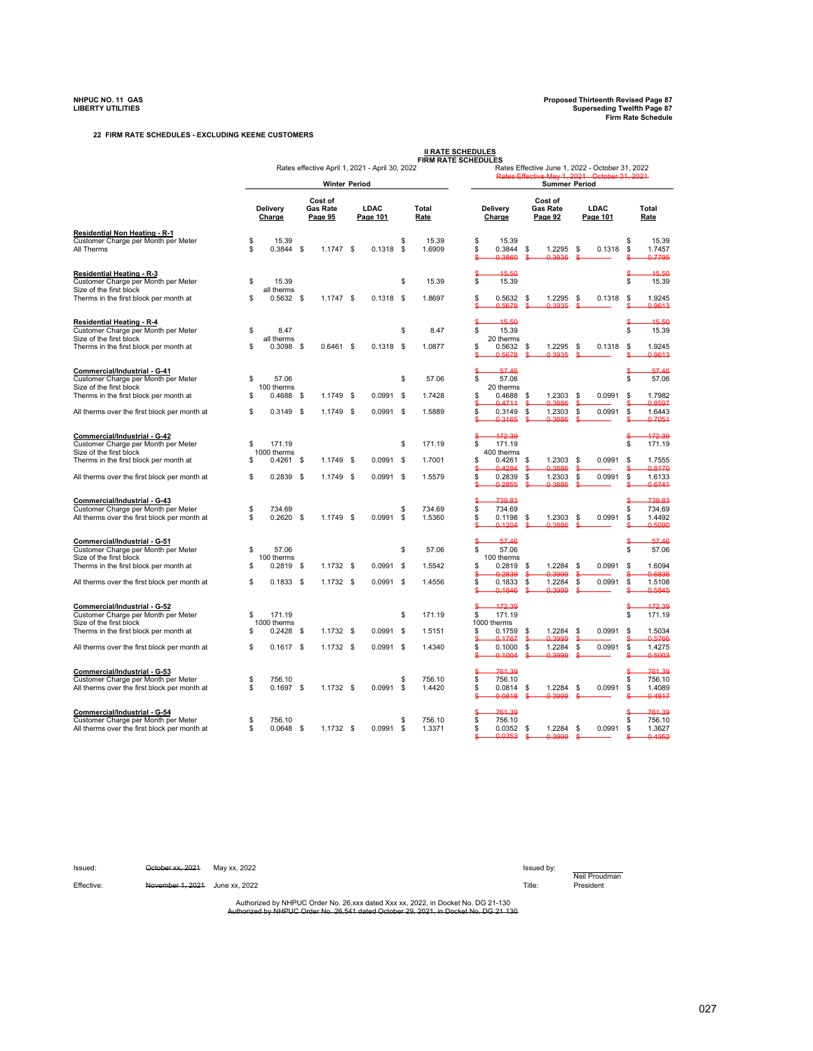**22 FIRM RATE SCHEDULES - EXCLUDING KEENE CUSTOMERS**

|                                                                                                                                          |          |                            |      |                                       |                                                |          |                      | <b>II RATE SCHEDULES</b><br><b>FIRM RATE SCHEDULES</b>                                                                  |                                       |                         |                                                       |  |  |  |  |
|------------------------------------------------------------------------------------------------------------------------------------------|----------|----------------------------|------|---------------------------------------|------------------------------------------------|----------|----------------------|-------------------------------------------------------------------------------------------------------------------------|---------------------------------------|-------------------------|-------------------------------------------------------|--|--|--|--|
|                                                                                                                                          |          |                            |      | <b>Winter Period</b>                  | Rates effective April 1, 2021 - April 30, 2022 |          |                      | Rates Effective June 1, 2022 - October 31, 2022<br>Rates Effective May 1, 2021 October 31, 2021<br><b>Summer Period</b> |                                       |                         |                                                       |  |  |  |  |
|                                                                                                                                          |          |                            |      |                                       |                                                |          |                      |                                                                                                                         |                                       |                         |                                                       |  |  |  |  |
|                                                                                                                                          |          | Delivery<br>Charge         |      | Cost of<br><b>Gas Rate</b><br>Page 95 | LDAC<br>Page 101                               |          | Total<br><b>Rate</b> | Delivery<br>Charge                                                                                                      | Cost of<br><b>Gas Rate</b><br>Page 92 | LDAC<br>Page 101        | Total<br>Rate                                         |  |  |  |  |
| Residential Non Heating - R-1<br>Customer Charge per Month per Meter<br>All Therms                                                       | \$<br>s  | 15.39<br>$0.3844$ \$       |      | $1.1747$ \$                           | 0.1318                                         | S.<br>\$ | 15.39<br>1.6909      | \$<br>15.39<br>\$<br>0.3844<br>0.3860                                                                                   | \$<br>1.2295<br>0.3935                | \$<br>0.1318            | \$<br>15.39<br>\$<br>1.7457<br>0.7795                 |  |  |  |  |
| Residential Heating - R-3<br>Customer Charge per Month per Meter                                                                         | \$       | 15.39                      |      |                                       |                                                | \$       | 15.39                | 15.50<br>\$<br>15.39                                                                                                    |                                       |                         | 15.50<br>\$<br>15.39                                  |  |  |  |  |
| Size of the first block<br>Therms in the first block per month at                                                                        | \$       | all therms<br>$0.5632$ \$  |      | $1.1747$ \$                           | 0.1318                                         | - \$     | 1.8697               | \$<br>0.5632<br>0.5678                                                                                                  | \$<br>1.2295                          | 0.1318<br>\$            | 1.9245<br>\$<br>0.9613                                |  |  |  |  |
| Residential Heating - R-4<br>Customer Charge per Month per Meter<br>Size of the first block                                              | s        | 8.47<br>all therms         |      |                                       |                                                | \$       | 8.47                 | 15.50<br>\$<br>15.39<br>20 therms                                                                                       |                                       |                         | 15.50<br>S<br>15.39                                   |  |  |  |  |
| Therms in the first block per month at                                                                                                   | s        | $0.3098$ \$                |      | $0.6461$ \$                           | 0.1318                                         | - \$     | 1.0877               | \$<br>0.5632<br>0.5678                                                                                                  | \$<br>1.2295<br><u>u 303e</u>         | \$<br>0.1318            | 1.9245<br>s<br>0 9613                                 |  |  |  |  |
| Commercial/Industrial - G-41<br>Customer Charge per Month per Meter<br>Size of the first block<br>Therms in the first block per month at | \$<br>\$ | 57.06<br>100 therms        |      | 1.1749 \$                             | 0.0991                                         | \$<br>\$ | 57.06<br>1.7428      | 57.46<br>\$<br>57.06<br>20 therms<br>\$<br>0.4688                                                                       | \$<br>1.2303                          | 0.0991                  | 57.46<br>S<br>57.06<br>\$<br>1.7982                   |  |  |  |  |
| All therms over the first block per month at                                                                                             | s        | $0.4688$ \$<br>$0.3149$ \$ |      | 1.1749 \$                             | 0.0991                                         | \$       | 1.5889               | 0.4711<br>S<br>\$<br>0.3149                                                                                             | a 3886<br>\$<br>1.2303                | \$<br>S<br>\$<br>0.0991 | 0.8597<br>\$<br>1.6443                                |  |  |  |  |
| Commercial/Industrial - G-42<br>Customer Charge per Month per Meter<br>Size of the first block                                           | \$       | 171.19<br>1000 therms      |      |                                       |                                                | \$       | 171.19               | 03165<br>\$<br>172.39<br>\$<br>171.19<br>400 therms                                                                     | 03886                                 |                         | 07051<br>Ś<br>172.39<br>\$<br>171.19                  |  |  |  |  |
| Therms in the first block per month at                                                                                                   | \$       | $0.4261$ \$                |      | 1.1749 \$                             | 0.0991                                         | \$       | 1.7001               | \$<br>0.4261<br>0.4284                                                                                                  | \$<br>1.2303<br>0.3886                | 0.0991<br>\$            | \$<br>1.7555<br>0.8170                                |  |  |  |  |
| All therms over the first block per month at                                                                                             | \$       | 0.2839                     | - \$ | 1.1749 \$                             | 0.0991                                         | \$       | 1.5579               | \$<br>0.2839<br>02855<br>S                                                                                              | \$<br>1.2303<br>03886                 | \$<br>0.0991<br>S       | \$<br>1.6133<br>06741<br>s                            |  |  |  |  |
| Commercial/Industrial - G-43<br>Customer Charge per Month per Meter<br>All therms over the first block per month at                      | \$<br>\$ | 734.69<br>0.2620           | \$   | 1.1749 \$                             | 0.0991                                         | \$<br>\$ | 734.69<br>1.5360     | 739.83<br>\$<br>\$<br>734.69<br>\$<br>0.1198<br>0.1204                                                                  | \$<br>1.2303<br>0.3886                | 0.0991<br>\$            | 739.83<br>S<br>\$<br>734.69<br>\$<br>1.4492<br>0.5090 |  |  |  |  |
| Commercial/Industrial - G-51<br>Customer Charge per Month per Meter<br>Size of the first block                                           | \$       | 57.06<br>100 therms        |      |                                       |                                                | \$       | 57.06                | 57.46<br>\$<br>57.06<br>100 therms                                                                                      |                                       |                         | 57.46<br>s<br>57.06                                   |  |  |  |  |
| Therms in the first block per month at                                                                                                   | S        | $0.2819$ \$                |      | 1.1732 \$                             | 0.0991                                         | \$       | 1.5542               | \$<br>0.2819<br>مجعج و                                                                                                  | \$<br>1.2284<br>u 3000                | \$<br>0.0991<br>s       | \$<br>1.6094<br>.6838                                 |  |  |  |  |
| All therms over the first block per month at                                                                                             | \$       | $0.1833$ \$                |      | 1.1732 \$                             | 0.0991                                         | - \$     | 1.4556               | \$<br>0.1833<br>0.1846<br>\$                                                                                            | \$<br>1.2284<br>0.3999                | \$<br>0.0991<br>ءِ      | \$<br>1.5108<br>0.5845<br>ዴ                           |  |  |  |  |
| Commercial/Industrial - G-52<br>Customer Charge per Month per Meter<br>Size of the first block                                           | \$       | 171.19<br>1000 therms      |      |                                       |                                                | \$       | 171.19               | 172.39<br>ኗ<br>\$<br>171.19<br>1000 therms                                                                              |                                       |                         | 172.39<br>\$<br>171.19                                |  |  |  |  |
| Therms in the first block per month at                                                                                                   | \$       | $0.2428$ \$                |      | $1.1732$ \$                           | 0.0991                                         | \$       | 1.5151               | \$<br>0.1759<br>0.1767                                                                                                  | 1.2284<br>\$<br>0.3999<br>\$.         | 0.0991<br>\$<br>S       | \$<br>1.5034<br>0.5766                                |  |  |  |  |
| All therms over the first block per month at                                                                                             | S        | $0.1617$ \$                |      | $1.1732$ \$                           | $0.0991$ \$                                    |          | 1.4340               | \$<br>0.1000<br>0.1004                                                                                                  | \$<br>1.2284<br>0.3999                | \$<br>0.0991            | S<br>1.4275<br>0.5003                                 |  |  |  |  |
| Commercial/Industrial - G-53<br>Customer Charge per Month per Meter<br>All therms over the first block per month at                      | \$<br>S  | 756.10<br>$0.1697$ \$      |      | 1.1732 \$                             | 0.0991                                         | \$<br>\$ | 756.10<br>1.4420     | 761.39<br>\$<br>756.10<br>\$<br>0.0814<br>00818                                                                         | \$<br>1.2284<br>0.3999                | \$<br>0.0991            | 761.39<br>\$<br>756.10<br>\$<br>1.4089<br>04817       |  |  |  |  |
| Commercial/Industrial - G-54<br>Customer Charge per Month per Meter<br>All therms over the first block per month at                      | S<br>S   | 756.10<br>$0.0648$ \$      |      | 1.1732 \$                             | 0.0991                                         | \$<br>\$ | 756.10<br>1.3371     | 761.39<br>\$<br>756.10<br>\$<br>0.0352<br>0.0353                                                                        | \$<br>1.2284<br>u 3000                | 0.0991<br>\$            | 761.39<br>\$<br>756.10<br>S<br>1.3627<br>0.4352       |  |  |  |  |

Issued: <del>October xx, 2021</del> May xx, 2022 **Issued by:** Issued by: Neil Proudman Effective: November 1, 2021 June xx, 2022

Authorized by NHPUC Order No. 26,xxx dated Xxx xx, 2022, in Docket No. DG 21-130<br>uthorized by NHPUC Order No. 26,541 dated October 29, 2021, in Docket No. DG 21-130 Authorized by NHPUC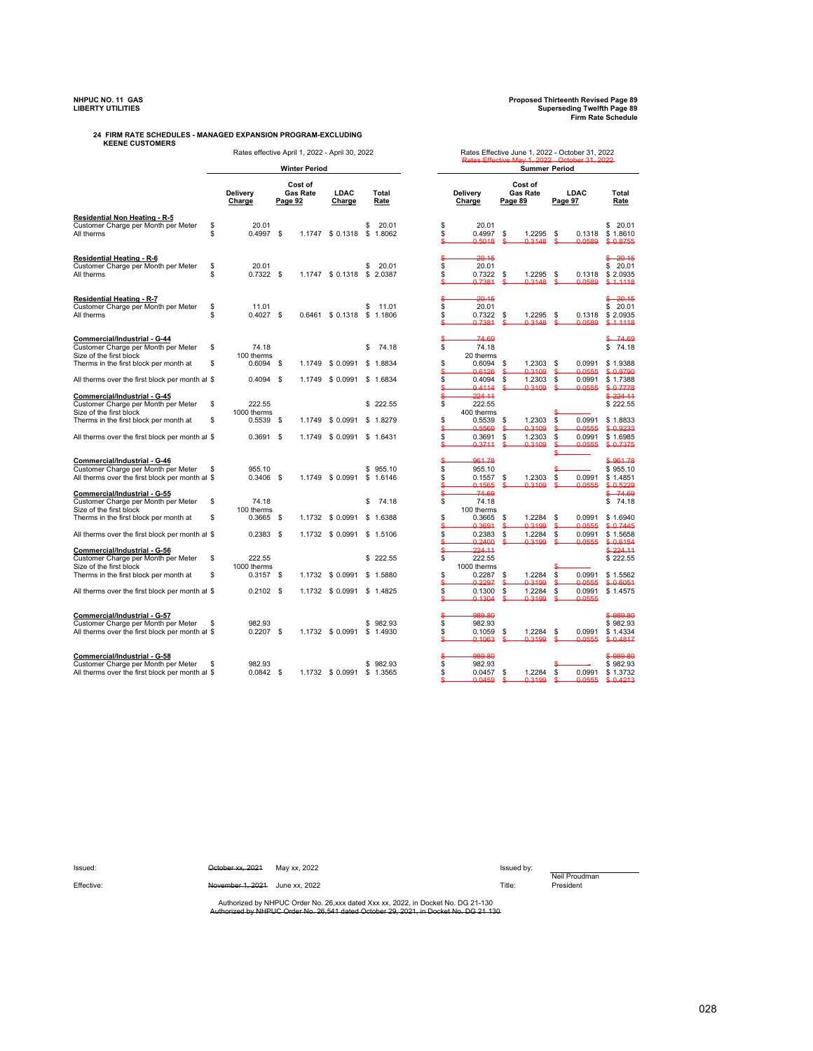## **KEENE CUSTOMERS 24 FIRM RATE SCHEDULES - MANAGED EXPANSION PROGRAM-EXCLUDING**

Rates effective April 1, 2022 - April 30, 2022<br>Rates Effective May 1, 2022 - October 31, 2022<br>Rates Effective May 1, 2022 - October 31, 2022

|                                                                         |    | <b>Winter Period</b>      |      |                                       |                            |    |               |          | <b>Summer Period</b> |         |                                       |           |                     |                                |  |  |  |
|-------------------------------------------------------------------------|----|---------------------------|------|---------------------------------------|----------------------------|----|---------------|----------|----------------------|---------|---------------------------------------|-----------|---------------------|--------------------------------|--|--|--|
|                                                                         |    |                           |      | Cost of<br><b>Gas Rate</b><br>Page 92 | LDAC<br>Charge             |    | Total<br>Rate |          | Delivery<br>Charge   |         | Cost of<br><b>Gas Rate</b><br>Page 89 |           | LDAC<br>Page 97     | Total<br>Rate                  |  |  |  |
| Residential Non Heating - R-5<br>Customer Charge per Month per Meter    | \$ | 20.01                     |      |                                       |                            | s  | 20.01         | \$       | 20.01                |         |                                       |           |                     | \$<br>20.01                    |  |  |  |
| All therms                                                              | \$ | $0.4997$ \$               |      |                                       | 1.1747 \$ 0.1318           |    | \$1.8062      | \$       | 0.4997<br>0.5018     | \$<br>S | 1.2295<br>0.3148                      | \$        | 0.1318<br>0.0589    | \$1.8610<br>0.8755<br>\$       |  |  |  |
| <b>Residential Heating - R-6</b><br>Customer Charge per Month per Meter | S  | 20.01                     |      |                                       |                            | S  | 20.01         | S<br>s   | 20 15<br>20.01       |         |                                       |           |                     | $-20.15$<br>\$<br>20.01<br>\$. |  |  |  |
| All therms                                                              | \$ | $0.7322$ \$               |      |                                       | 1.1747 \$ 0.1318           |    | \$2.0387      | s<br>S   | 0.7322<br>0.7381     | \$<br>S | 1.2295<br>0.3148                      | \$<br>S   | 0.1318<br>0.0589    | \$2.0935<br>$$ -1.1118$        |  |  |  |
|                                                                         |    |                           |      |                                       |                            |    |               |          | 20.15                |         |                                       |           |                     | 20.15                          |  |  |  |
| <b>Residential Heating - R-7</b><br>Customer Charge per Month per Meter | \$ | 11.01                     |      |                                       |                            | s  | 11.01         | s        | 20.01                |         |                                       |           |                     | 20.01<br>\$                    |  |  |  |
| All therms                                                              | S  | $0.4027$ \$               |      |                                       | 0.6461 \$ 0.1318           |    | \$1.1806      | \$       | 0.7322               | \$      | 1.2295                                | \$        | 0.1318              | \$2.0935                       |  |  |  |
|                                                                         |    |                           |      |                                       |                            |    |               |          | 07381                | ₫       | 03148                                 |           | 00589               | $$ -11118$                     |  |  |  |
| Commercial/Industrial - G-44                                            |    |                           |      |                                       |                            |    |               |          | 74.69                |         |                                       |           |                     | 74.69                          |  |  |  |
| Customer Charge per Month per Meter                                     | \$ | 74.18                     |      |                                       |                            | \$ | 74.18         | \$       | 74.18                |         |                                       |           |                     | 74.18<br>\$                    |  |  |  |
| Size of the first block<br>Therms in the first block per month at       | S  | 100 therms<br>$0.6094$ \$ |      | 1.1749                                | \$0.0991                   |    | \$1.8834      | S        | 20 therms<br>0.6094  | \$      | 1.2303                                | \$        | 0.0991              | \$1.9388                       |  |  |  |
|                                                                         |    |                           |      |                                       |                            |    |               |          | 0.6126               | \$.     | 0.3109                                | S         | 0.0555              | \$ 0.9790                      |  |  |  |
| All therms over the first block per month at \$                         |    | $0.4094$ \$               |      |                                       | 1.1749 \$ 0.0991           |    | \$1.6834      | S        | 0.4094               | \$      | 1.2303                                | \$        | 0.0991              | \$1.7388                       |  |  |  |
|                                                                         |    |                           |      |                                       |                            |    |               |          | 04114                | \$      | 03109                                 |           | 0 0 5 5 5           | \$ 0 7778                      |  |  |  |
| Commercial/Industrial - G-45                                            |    |                           |      |                                       |                            |    |               |          | 224 11               |         |                                       |           |                     | \$22411                        |  |  |  |
| Customer Charge per Month per Meter<br>Size of the first block          | S  | 222.55<br>1000 therms     |      |                                       |                            |    | \$222.55      | s        | 222.55<br>400 therms |         |                                       |           |                     | \$222.55                       |  |  |  |
| Therms in the first block per month at                                  | \$ | $0.5539$ \$               |      | 1.1749                                | \$ 0.0991                  |    | \$1.8279      | \$       | 0.5539               | \$      | 1.2303                                | \$        | 0.0991              | \$1.8833                       |  |  |  |
|                                                                         |    |                           |      |                                       |                            |    |               |          | 0.5569               | \$      | 0.3109                                | \$        | 0.0555              | \$0.9233                       |  |  |  |
| All therms over the first block per month at \$                         |    | $0.3691$ \$               |      |                                       | 1.1749 \$0.0991            |    | \$1.6431      | S<br>S   | 0.3691<br>0.3711     | \$<br>S | 1.2303<br>0.3109                      | \$<br>\$. | 0.0991<br>0.0555    | \$1.6985<br>\$ 0.7375          |  |  |  |
|                                                                         |    |                           |      |                                       |                            |    |               |          |                      |         |                                       |           |                     |                                |  |  |  |
| Commercial/Industrial - G-46<br>Customer Charge per Month per Meter     | \$ | 955.10                    |      |                                       |                            | s. | 955.10        | S        | 96178<br>955.10      |         |                                       |           |                     | \$96178<br>\$955.10            |  |  |  |
| All therms over the first block per month at \$                         |    | $0.3406$ \$               |      |                                       | 1.1749 \$0.0991            |    | \$1.6146      | S        | 0.1557               | \$      | 1.2303                                | \$        | 0.0991              | \$1.4851                       |  |  |  |
|                                                                         |    |                           |      |                                       |                            |    |               |          | 0.1565               |         | 0.3109                                |           | 0.0555              | \$0.5229                       |  |  |  |
| Commercial/Industrial - G-55                                            |    |                           |      |                                       |                            |    |               |          | 74.69                |         |                                       |           |                     | 74.69<br>ዴ                     |  |  |  |
| Customer Charge per Month per Meter                                     | S  | 74.18                     |      |                                       |                            | S  | 74.18         | S        | 74.18                |         |                                       |           |                     | \$74.18                        |  |  |  |
| Size of the first block<br>Therms in the first block per month at       | \$ | 100 therms<br>$0.3665$ \$ |      |                                       | 1.1732 \$ 0.0991           |    | \$1.6388      | \$       | 100 therms<br>0.3665 | \$      | 1.2284                                | \$        | 0.0991              | \$1.6940                       |  |  |  |
|                                                                         |    |                           |      |                                       |                            |    |               |          | 03691                |         | 03199                                 | S         | 0 0 5 5 5           | \$ 07445                       |  |  |  |
| All therms over the first block per month at \$                         |    | 0.2383                    | - \$ |                                       | 1.1732 \$ 0.0991           |    | \$1.5106      | s        | 0.2383               | \$      | 1.2284                                | \$        | 0.0991              | \$1.5658                       |  |  |  |
|                                                                         |    |                           |      |                                       |                            |    |               | s        | 0.2400<br>224.11     | \$      | 0.3199                                | s         | 0.0555              | \$ 0.6154                      |  |  |  |
| Commercial/Industrial - G-56<br>Customer Charge per Month per Meter     | \$ | 222.55                    |      |                                       |                            |    | \$222.55      | \$<br>\$ | 222.55               |         |                                       |           |                     | \$224.11<br>\$222.55           |  |  |  |
| Size of the first block                                                 |    | 1000 therms               |      |                                       |                            |    |               |          | 1000 therms          |         |                                       |           |                     |                                |  |  |  |
| Therms in the first block per month at                                  | S  | $0.3157$ \$               |      |                                       | 1.1732 \$ 0.0991           |    | \$1.5880      | S        | 0.2287               | \$      | 1.2284                                | \$        | 0.0991              | \$1.5562                       |  |  |  |
|                                                                         |    |                           |      |                                       |                            |    |               |          | 02297                | S       | 03199                                 | \$        | 0.0555              | \$06051                        |  |  |  |
| All therms over the first block per month at \$                         |    | $0.2102$ \$               |      |                                       | 1.1732 \$ 0.0991 \$ 1.4825 |    |               | s        | 0.1300<br>0 1304     | \$<br>S | 1.2284<br>03199                       | \$<br>S   | 0.0991<br>0 0 5 5 5 | \$1.4575                       |  |  |  |
| Commercial/Industrial - G-57                                            |    |                           |      |                                       |                            |    |               |          | 989.80               |         |                                       |           |                     | \$ 989.80                      |  |  |  |
| Customer Charge per Month per Meter                                     | S  | 982.93                    |      |                                       |                            |    | \$982.93      | S        | 982.93               |         |                                       |           |                     | \$982.93                       |  |  |  |
| All therms over the first block per month at \$                         |    | $0.2207$ \$               |      |                                       | 1.1732 \$0.0991            |    | \$1.4930      | \$       | 0.1059               | \$      | 1.2284                                | \$        | 0.0991              | \$1.4334                       |  |  |  |
|                                                                         |    |                           |      |                                       |                            |    |               |          | 0.1063               |         | 0.3199                                |           | 0.0555              | \$0.4817                       |  |  |  |
| Commercial/Industrial - G-58                                            |    |                           |      |                                       |                            |    |               |          | 989 80               |         |                                       |           |                     | \$98980                        |  |  |  |
| Customer Charge per Month per Meter                                     | \$ | 982.93                    |      |                                       |                            | \$ | 982.93        | S        | 982.93               |         |                                       |           |                     | \$982.93                       |  |  |  |
| All therms over the first block per month at \$                         |    | $0.0842$ \$               |      |                                       | 1.1732 \$0.0991            |    | \$1.3565      | S        | 0.0457               | \$      | 1.2284 \$                             |           | 0.0991              | \$1.3732                       |  |  |  |

| <b>Winter Period</b>  |              |                                       |                            |    |               | <b>Summer Period</b>      |                                                 |                |                                       |                 |                            |                                                                |
|-----------------------|--------------|---------------------------------------|----------------------------|----|---------------|---------------------------|-------------------------------------------------|----------------|---------------------------------------|-----------------|----------------------------|----------------------------------------------------------------|
| Delivery<br>Charge    |              | Cost of<br><b>Gas Rate</b><br>Page 92 | LDAC<br>Charge             |    | Total<br>Rate |                           | Delivery<br>Charge                              |                | Cost of<br><b>Gas Rate</b><br>Page 89 |                 | <b>LDAC</b><br>Page 97     | Total<br>Rate                                                  |
| 20.01<br>0.4997 S     |              |                                       | 1.1747 \$0.1318 \$1.8062   | S  | 20.01         | S<br>\$<br>\$             | 20.01<br>0.4997<br>0.5018                       | \$<br>S        | 1.2295<br>0.3148                      | \$              | 0.1318<br>0.0589           | \$20.01<br>\$1.8610<br>\$0.8755                                |
| 20.01<br>$0.7322$ \$  |              |                                       | 1.1747 \$ 0.1318 \$ 2.0387 | S  | 20.01         | \$<br>\$<br>s.            | 20.15<br>20.01<br>0.7322<br>0.7381              | \$<br>-8       | 1.2295<br>$0.3148$ \$                 | \$              | 0.1318<br>0.0589           | $-20.15$<br>\$<br>\$20.01<br>\$2.0935<br>\$1.1118              |
| 11.01<br>$0.4027$ \$  |              | 0.6461                                | \$ 0.1318 \$ 1.1806        | \$ | 11.01         | \$.<br>S<br>\$<br>\$      | $-20.15$<br>20.01<br>0.7322<br>0.7381           | \$             | 1.2295<br>0.3148                      | \$              | 0.1318<br>00589            | \$20.15<br>\$20.01<br>\$2.0935<br>\$1118                       |
| 74.18                 |              |                                       |                            | S  | 74.18         | s.<br>\$                  | $-74.69$<br>74.18                               |                |                                       |                 |                            | \$74.69<br>\$74.18                                             |
| 100 therms<br>0.6094  | \$           |                                       | 1.1749 \$ 0.0991 \$ 1.8834 |    |               | S                         | 20 therms<br>0.6094                             | \$             | 1.2303                                | \$              | 0.0991                     | \$1.9388                                                       |
| 0.4094                | $\mathbf{s}$ |                                       | 1.1749 \$0.0991            |    | \$1.6834      | S<br>S<br>\$.<br>S        | $-0.6126$<br>0.4094<br>04114<br>$-224.11$       | \$<br>\$<br>\$ | 0.3109<br>1.2303<br>03109             | \$<br>\$<br>\$  | 0.0555<br>0.0991           | \$ 0.9790<br>\$1.7388<br>00555 \$07778<br>\$224.11             |
| 222.55<br>1000 therms |              |                                       |                            |    | \$222.55      | S                         | 222.55<br>400 therms                            |                |                                       |                 |                            | \$222.55                                                       |
| 0.5539                | \$           |                                       | 1.1749 \$ 0.0991 \$ 1.8279 |    |               | S                         | 0.5539                                          | \$             | 1.2303<br>0.3109                      | \$              |                            | 0.0991 \$1.8833                                                |
| 0.3691                | S            | 1.1749                                | \$ 0.0991                  |    | \$1.6431      | \$<br>\$<br>\$.           | 0.5569<br>0.3691<br>0.3711                      | \$<br>\$<br>\$ | 1.2303<br>0.3109                      | S<br>\$<br>\$   | 0.0555<br>0.0991<br>0.0555 | \$0.9233<br>\$1.6985<br>\$0.7375                               |
| 955.10<br>$0.3406$ \$ |              |                                       | 1.1749 \$0.0991 \$1.6146   |    | \$955.10      | \$<br>\$<br>Ś<br>S<br>\$. | 96178<br>955.10<br>0.1557<br>0.1565<br>$-74.69$ | \$<br>S        | 1.2303<br>0.3109                      | \$<br>\$        | 0.0991<br>0.0555           | \$.961.78<br>\$955.10<br>\$1.4851<br>\$0.5229<br>\$74.69       |
| 74.18<br>100 therms   |              |                                       |                            | S  | 74.18         | S                         | 74.18<br>100 therms                             |                |                                       |                 |                            | \$74.18                                                        |
| 0.3665                | \$           |                                       | 1.1732 \$ 0.0991 \$ 1.6388 |    |               | \$<br>Ŝ                   | 0.3665<br>03691                                 | \$<br>\$       | 1.2284<br>03199                       | \$<br>S         | 0.0555                     | 0.0991 \$1.6940<br>\$0.7445                                    |
| $0.2383$ \$           |              |                                       | 1.1732 \$ 0.0991           |    | \$1.5106      | \$<br>S<br>s.             | 0.2383<br>0.2400<br>$-224.11$                   | \$<br>S        | 1.2284<br>0.3199                      | \$<br>\$        | 0.0991<br>0.0555           | \$1.5658<br>\$0.6154<br>\$224.11                               |
| 222.55                |              |                                       |                            |    | \$222.55      | \$                        | 222.55                                          |                |                                       |                 |                            | \$222.55                                                       |
| 1000 therms<br>0.3157 | S            |                                       | 1.1732 \$ 0.0991 \$ 1.5880 |    |               | \$                        | 1000 therms<br>0.2287                           | \$             | 1.2284                                | \$              |                            | 0.0991 \$1.5562                                                |
| $0.2102$ \$           |              |                                       | 1.1732 \$ 0.0991           |    | \$1.4825      | S<br>S<br>\$.             | 0.2297<br>0.1300<br>0.1304                      | ዴ<br>\$        | 0.3199<br>1.2284<br>0.3199            | \$<br>\$.<br>\$ | 0.0555<br>0.0991<br>0.0555 | \$06054<br>\$1.4575                                            |
| 982.93<br>$0.2207$ \$ |              |                                       | 1.1732 \$ 0.0991 \$ 1.4930 |    | \$982.93      | S<br>\$<br>\$<br>s.       | 989.80<br>982.93<br>$0.1059$ \$<br>0.1063       |                | 1.2284<br>0.3199                      | \$              | 0.0991<br>0.0555           | \$89.80<br>\$982.93<br>\$1.4334<br>\$0.4817                    |
| 982.93<br>$0.0842$ \$ |              |                                       | 1.1732 \$ 0.0991 \$ 1.3565 |    | \$982.93      | \$<br>\$<br>Ś<br>s.       | 989 80<br>982.93<br>0.0457<br>$0.0459$ \$       | \$             | 1.2284<br>0.3199                      | \$.<br>\$       |                            | \$98980<br>\$982.93<br>0.0991 \$1.3732<br>$0.0555$ \$ $0.4213$ |

Issued: Getober xx, 2021 May xx, 2022

Effective: November 1, 2021 June xx, 2022 **November 1, 2021** Title:

Neil Proudman

Authorized by NHPUC Order No. 26, xxx dated Xxx xx, 2022, in Docket No. DG 21-130<br>Authorized by NHPUC Order No. 26,541 dated October 29, 2021, in Docket No. DG 21-130 Authorized by NHPUC Order No. 26,541 dated October 29, 2021, in Docket No. DG 21 130

# **NHPUC NO. 11 GAS Proposed Thirteenth Revised Page 89 LIBERTY UTILITIES Superseding Twelfth Page 89 Firm Rate Schedule**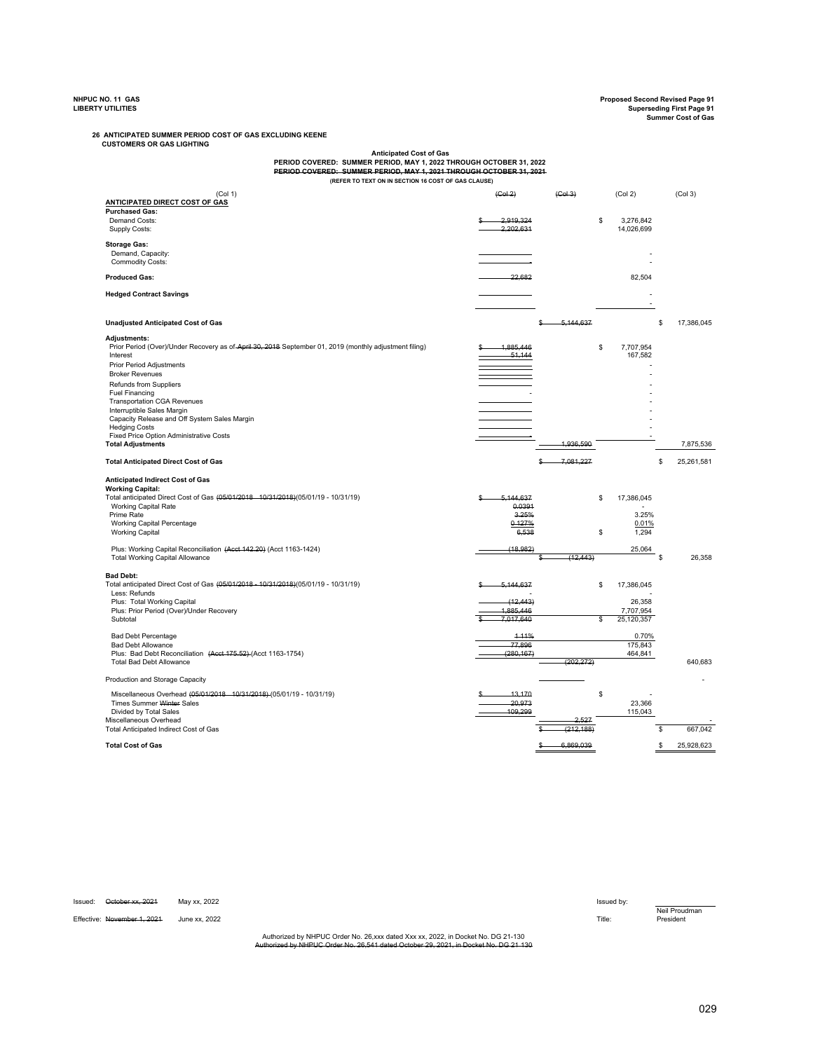**NHPUC NO. 11 GAS Proposed Second Revised Page 91 LIBERTY UTILITIES Superseding First Page 91 Summer Cost of Gas**

 **CUSTOMERS OR GAS LIGHTING 26 ANTICIPATED SUMMER PERIOD COST OF GAS EXCLUDING KEENE**

**Anticipated Cost of Gas PERIOD COVERED: SUMMER PERIOD, MAY 1, 2022 THROUGH OCTOBER 31, 2022 PERIOD COVERED: SUMMER PERIOD, MAY 1, 2021 THROUGH OCTOBER 31, 2021 (REFER TO TEXT ON IN SECTION 16 COST OF GAS CLAUSE)**

|                                                                                                                                 | (Col 3)<br>(Col 2)    |
|---------------------------------------------------------------------------------------------------------------------------------|-----------------------|
| ANTICIPATED DIRECT COST OF GAS<br><b>Purchased Gas:</b>                                                                         |                       |
| Demand Costs:<br>2.919.324<br>\$                                                                                                | 3,276,842             |
| Supply Costs:<br>2.202.631                                                                                                      | 14,026,699            |
| <b>Storage Gas:</b>                                                                                                             |                       |
| Demand, Capacity:                                                                                                               |                       |
| <b>Commodity Costs:</b>                                                                                                         |                       |
| 22,682<br><b>Produced Gas:</b>                                                                                                  | 82,504                |
|                                                                                                                                 |                       |
| <b>Hedged Contract Savings</b>                                                                                                  |                       |
|                                                                                                                                 |                       |
| <b>Unadjusted Anticipated Cost of Gas</b><br>5,144,637                                                                          | \$<br>17,386,045      |
| Adjustments:                                                                                                                    |                       |
| Prior Period (Over)/Under Recovery as of April 30, 2018 September 01, 2019 (monthly adjustment filing)<br>1.885.446<br>\$       | 7,707,954             |
| 51.144<br>Interest                                                                                                              | 167,582               |
| <b>Prior Period Adjustments</b>                                                                                                 |                       |
| <b>Broker Revenues</b>                                                                                                          |                       |
| Refunds from Suppliers                                                                                                          |                       |
| <b>Fuel Financing</b><br><b>Transportation CGA Revenues</b>                                                                     |                       |
| Interruptible Sales Margin                                                                                                      |                       |
| Capacity Release and Off System Sales Margin                                                                                    |                       |
| <b>Hedging Costs</b><br>Fixed Price Option Administrative Costs                                                                 |                       |
| 1,936,590<br><b>Total Adjustments</b>                                                                                           | 7,875,536             |
|                                                                                                                                 |                       |
| 7,081,227<br><b>Total Anticipated Direct Cost of Gas</b>                                                                        | \$<br>25,261,581      |
| Anticipated Indirect Cost of Gas                                                                                                |                       |
| <b>Working Capital:</b>                                                                                                         |                       |
| Total anticipated Direct Cost of Gas (05/01/2018 10/31/2018)(05/01/19 - 10/31/19)<br>5,144,637<br>\$                            | 17,386,045            |
| 0.0391<br><b>Working Capital Rate</b><br>3.25%<br>Prime Rate                                                                    | 3.25%                 |
| 0.127%<br><b>Working Capital Percentage</b>                                                                                     | 0.01%                 |
| 6,538<br>\$<br><b>Working Capital</b>                                                                                           | 1,294                 |
| (18.982)                                                                                                                        |                       |
| Plus: Working Capital Reconciliation (Acct 142.20) (Acct 1163-1424)<br>(12, 443)<br><b>Total Working Capital Allowance</b><br>s | 25,064<br>S<br>26,358 |
|                                                                                                                                 |                       |
| <b>Bad Debt:</b>                                                                                                                |                       |
|                                                                                                                                 |                       |
| Total anticipated Direct Cost of Gas (05/01/2018 - 10/31/2018)(05/01/19 - 10/31/19)<br>5,144,637<br>\$                          | 17,386,045            |
| Less: Refunds                                                                                                                   |                       |
| Plus: Total Working Capital<br>(12.443)<br>Plus: Prior Period (Over)/Under Recovery<br>1.885.446                                | 26,358<br>7,707,954   |
| 7.017.640<br>Subtotal<br>\$                                                                                                     | 25,120,357            |
|                                                                                                                                 |                       |
| <b>Bad Debt Percentage</b><br>4-11%<br>77,896<br><b>Bad Debt Allowance</b>                                                      | 0.70%<br>175,843      |
| (280, 167)<br>Plus: Bad Debt Reconciliation (Acct 175.52) (Acct 1163-1754)                                                      | 464,841               |
| (202, 272)<br><b>Total Bad Debt Allowance</b>                                                                                   | 640,683               |
| Production and Storage Capacity                                                                                                 |                       |
|                                                                                                                                 |                       |
| Miscellaneous Overhead (05/01/2018 10/31/2018) (05/01/19 - 10/31/19)<br>\$<br>13.170<br>20.973                                  |                       |
| Times Summer Winter Sales<br>109.299<br>Divided by Total Sales                                                                  | 23,366<br>115,043     |
| Miscellaneous Overhead                                                                                                          |                       |
| Total Anticipated Indirect Cost of Gas<br>(212, 188)                                                                            | 667,042<br>\$         |

| Issued: | October xx. 2021            | Mav xx. 2022  |                                                                                                                                                                                    | Issued by: |           |
|---------|-----------------------------|---------------|------------------------------------------------------------------------------------------------------------------------------------------------------------------------------------|------------|-----------|
|         |                             |               |                                                                                                                                                                                    |            | Neil Prou |
|         | Effective: November 1, 2021 | June xx. 2022 |                                                                                                                                                                                    | Title:     | President |
|         |                             |               |                                                                                                                                                                                    |            |           |
|         |                             |               | Authorized by NHPUC Order No. 26.xxx dated Xxx xx, 2022, in Docket No. DG 21-130                                                                                                   |            |           |
|         |                             |               | Authorized by NHPLIC Order No. 36 544 deted October 20, 2021, in Dealet No. DC 24, 120<br>Addiofi260 DV NFIFOG OR081 NO. 20.04   03.69 October 29. 2021. III Doctority, DG 21, Toy |            |           |

Neil Proudman<br>President